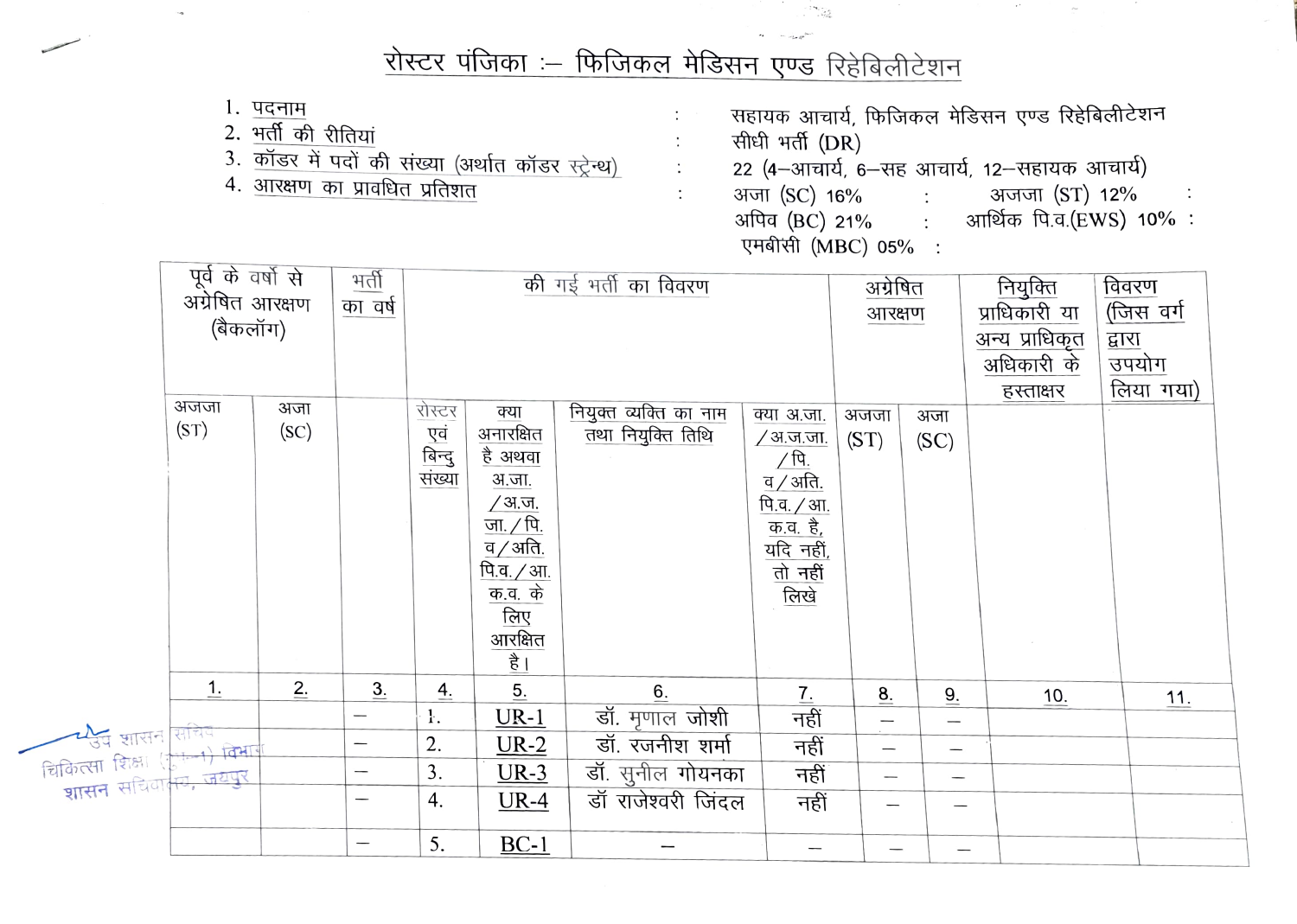## रोस्टर पंजिका :- फिजिकल मेडिसन एण्ड रिहेबिलीटेशन

\*53

1. पदनाम

चिकित्स

- 2. भर्ती की रीतियां
- 3. कॉडर में पदों की संख्या (अर्थात कॉडर स्ट्रेन्थ)
- 4. आरक्षण का प्रावधित प्रतिशत

सहायक आचार्य, फिजिकल मेडिसन एण्ड रिहेबिलीटेशन सीधी भर्ती (DR) 22 (4-आचार्य, 6-सह आचार्य, 12-सहायक आचार्य) अजा (SC) 16% : अजजा (ST) 12% अपिव<sup>(BC)</sup> 21%: आर्थिक पि.व.(EWS) 10%: एमबीसी (MBC) 05%:

|                                                                                                          | पूर्व के वर्षो से<br>अंग्रेषित आरक्षण<br>का वर्ष<br>(बैकलॉग)<br>अजजा<br>अजा<br>(ST)<br>( <b>SC</b> ) |    | भर्ती | की गई भर्ती का विवरण<br>रोस्टर<br>नियुक्त व्यक्ति का नाम<br>क्या<br>क्या अ.जा.<br>अनारक्षित<br>एवं<br>बिन्दु<br>संख्या<br>तथा नियुक्ति तिथि<br>/अ.ज.जा.<br>है अथवा<br><u>∕ पि.</u><br>व $/$ अति.<br>अ.जा.<br>/ अ.ज.<br>पि.व. / आ.<br><u>जा. / पि.</u><br><u>क.व. है,</u><br>व $\overline{\mathcal{A}}$ अति.<br>यदि नहीं,<br>तो नहीं<br><u>पि.व. / आ.</u><br>  क.व. के<br> लिए<br>लिखे<br>आरक्षित<br>है |                   |                    |                  |                                   | अग्रेषित<br>आरक्षण<br>अजा<br>(SC) | नियुक्ति<br>प्राधिकारी या<br>अन्य प्राधिकृत<br>अधिकारी के<br>हस्ताक्षर | विवरण<br>(जिस वर्ग<br>द्वारा<br>उपयोग<br>लिया गया) |
|----------------------------------------------------------------------------------------------------------|------------------------------------------------------------------------------------------------------|----|-------|--------------------------------------------------------------------------------------------------------------------------------------------------------------------------------------------------------------------------------------------------------------------------------------------------------------------------------------------------------------------------------------------------------|-------------------|--------------------|------------------|-----------------------------------|-----------------------------------|------------------------------------------------------------------------|----------------------------------------------------|
|                                                                                                          | 1.                                                                                                   | 2. | 3.    | $\overline{4}$ .                                                                                                                                                                                                                                                                                                                                                                                       | $\underline{5}$ . | 6.                 | $\overline{1}$ . | $\underline{8}$ .                 | 9.                                | 10.                                                                    | 11.                                                |
|                                                                                                          |                                                                                                      |    | —     | ŀ.                                                                                                                                                                                                                                                                                                                                                                                                     | $UR-1$            | डॉ. मृणाल जोशी     | नहीं             |                                   |                                   |                                                                        |                                                    |
| न्य्युच शासन सचिव<br>कित्सा शिक्षा (गु <del>नन्न) विभा</del><br><b>शासन</b> सचिवा <mark>नम, जयपुर</mark> |                                                                                                      |    | —     | 2.                                                                                                                                                                                                                                                                                                                                                                                                     | $UR-2$            | डॉ. रजनीश शर्मा    | नहीं             | $\overbrace{\phantom{123221111}}$ | $\overline{\phantom{m}}$          |                                                                        |                                                    |
|                                                                                                          |                                                                                                      |    |       | 3.                                                                                                                                                                                                                                                                                                                                                                                                     | $UR-3$            | डॉ. सुनील गोयनका   | नहीं             |                                   |                                   |                                                                        |                                                    |
|                                                                                                          |                                                                                                      |    |       | 4.                                                                                                                                                                                                                                                                                                                                                                                                     | $UR-4$            | डॉ राजेश्वरी जिंदल | नहीं             |                                   | —                                 |                                                                        |                                                    |
|                                                                                                          |                                                                                                      |    |       | 5.                                                                                                                                                                                                                                                                                                                                                                                                     | $BC-1$            |                    |                  |                                   |                                   |                                                                        |                                                    |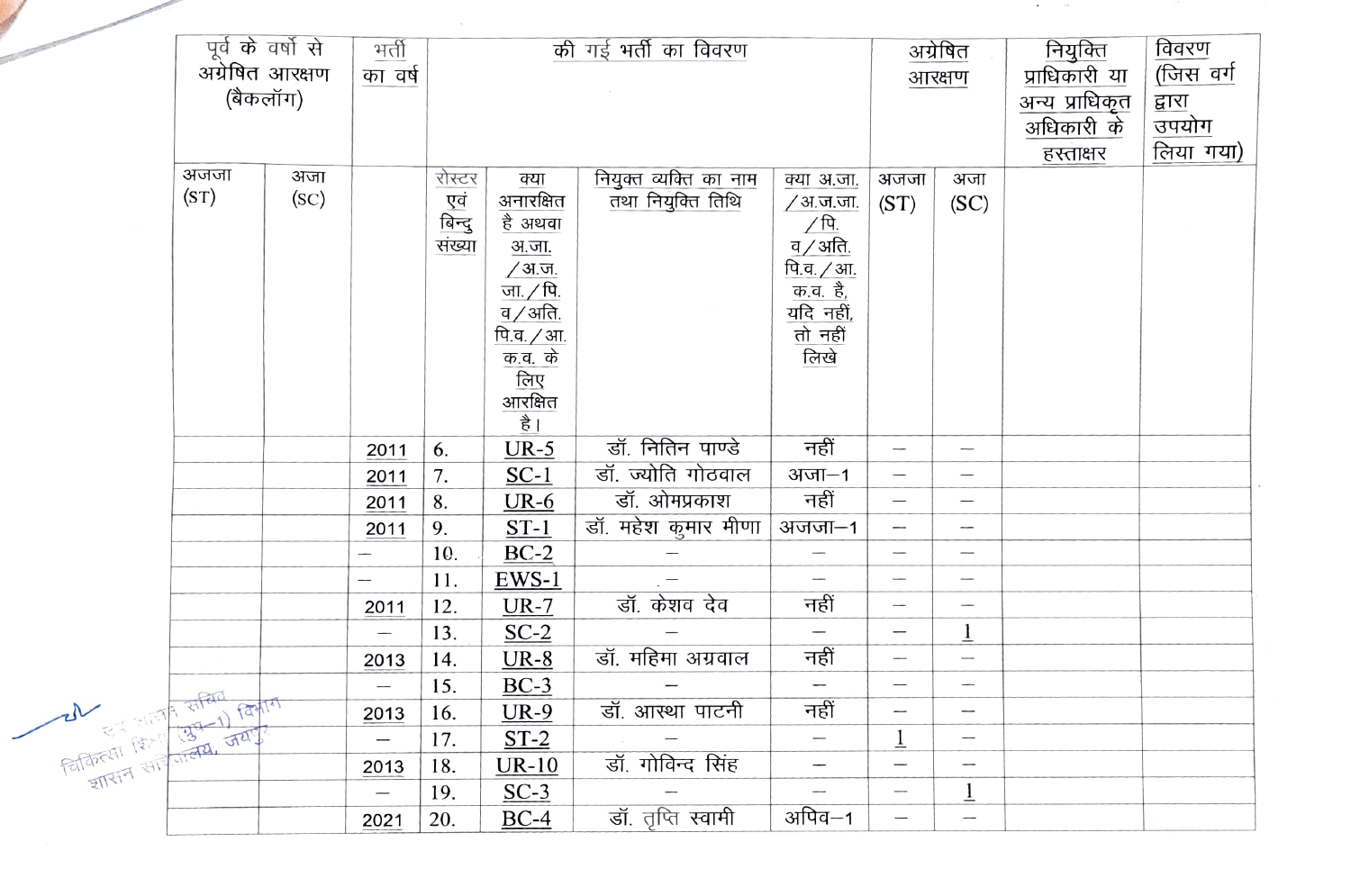|                                                                     | पूर्व के वर्षो से          | भर्ती         | की गई भर्ती का विवरण     |                         |                                                                      |                        |                                                                                                                                                                                                                                                                 | अग्रेषित                        | नियुक्ति                        | विवरण          |           |
|---------------------------------------------------------------------|----------------------------|---------------|--------------------------|-------------------------|----------------------------------------------------------------------|------------------------|-----------------------------------------------------------------------------------------------------------------------------------------------------------------------------------------------------------------------------------------------------------------|---------------------------------|---------------------------------|----------------|-----------|
|                                                                     | अग्रेषित आरक्षण<br>का वर्ष |               |                          |                         |                                                                      |                        | आरक्षण                                                                                                                                                                                                                                                          |                                 | प्राधिकारी या                   | (जिस वर्ग      |           |
|                                                                     |                            | (बैकलॉग)      |                          |                         |                                                                      |                        |                                                                                                                                                                                                                                                                 |                                 |                                 | अन्य प्राधिकृत | द्वारा    |
|                                                                     |                            |               |                          |                         |                                                                      |                        |                                                                                                                                                                                                                                                                 |                                 |                                 | अधिकारी के     | उपयोग     |
|                                                                     |                            |               |                          |                         |                                                                      |                        |                                                                                                                                                                                                                                                                 |                                 |                                 | हस्ताक्षर      | लिया गया) |
|                                                                     | अजजा                       | अजा           |                          | रोस्टर                  | क्या                                                                 | नियुक्त व्यक्ति का नाम | क्या अ.जा.                                                                                                                                                                                                                                                      | अजजा                            | अजा                             |                |           |
|                                                                     | (ST)                       | ( <b>SC</b> ) |                          | एवं<br>बिन्दु<br>संख्या | अनारक्षित                                                            | तथा नियुक्ति तिथि      | <u>/ अ.ज.जा.</u>                                                                                                                                                                                                                                                | (ST)                            | (SC)                            |                |           |
|                                                                     |                            |               |                          |                         | है अथवा                                                              |                        | $\frac{1}{\sqrt{q}}$<br>$\frac{q}{q}$ , अति<br>$\frac{q}{q}$ , अति<br>$\frac{q}{q}$ , अति<br>$\frac{q}{q}$ , सर्दि, सर्दि, सर्दि, सर्दि, सर्दि, सर्दि, सर्दि, सर्दि, सर्दि, सर्दि, सर्दि, सर्दि, सर्दि, सर्दि, सर्दि, सर्दि, सर्दि, सर्दि, सर्दि, सर्दि, सर्दि, |                                 |                                 |                |           |
|                                                                     |                            |               |                          |                         | <u>अ.जा.</u>                                                         |                        |                                                                                                                                                                                                                                                                 |                                 |                                 |                |           |
|                                                                     |                            |               |                          |                         |                                                                      |                        |                                                                                                                                                                                                                                                                 |                                 |                                 |                |           |
|                                                                     |                            |               |                          |                         | <u>/ अ.ज.</u><br>जा./पि.<br>ब/अति.                                   |                        |                                                                                                                                                                                                                                                                 |                                 |                                 |                |           |
|                                                                     |                            |               |                          |                         |                                                                      |                        | <u>तो नहीं</u><br>लिखे                                                                                                                                                                                                                                          |                                 |                                 |                |           |
|                                                                     |                            |               |                          |                         |                                                                      |                        |                                                                                                                                                                                                                                                                 |                                 |                                 |                |           |
|                                                                     |                            |               |                          |                         |                                                                      |                        |                                                                                                                                                                                                                                                                 |                                 |                                 |                |           |
|                                                                     |                            |               |                          |                         | <u>नि.व. / आ.</u><br>क.व. के<br><u>लिए</u><br>आरक्षित<br><u>है  </u> |                        |                                                                                                                                                                                                                                                                 |                                 |                                 |                |           |
|                                                                     |                            |               |                          |                         |                                                                      | डॉ. नितिन पाण्डे       | नहीं                                                                                                                                                                                                                                                            |                                 |                                 |                |           |
|                                                                     |                            |               | 2011                     | 6.                      | $UR-5$                                                               | डॉ. ज्योति गोठवाल      |                                                                                                                                                                                                                                                                 |                                 |                                 |                |           |
|                                                                     |                            |               | 2011                     | 7.                      | $SC-1$                                                               | डॉ. ओमप्रकाश           | अजा $-1$<br>नहीं                                                                                                                                                                                                                                                | $\qquad \qquad -$               |                                 |                |           |
|                                                                     |                            |               | 2011                     | 8.                      | $UR-6$                                                               |                        |                                                                                                                                                                                                                                                                 |                                 |                                 |                |           |
|                                                                     |                            |               | 2011                     | 9.                      | $ST-1$                                                               | डॉ. महेश कुमार मीणा    | अजजा $-1$                                                                                                                                                                                                                                                       |                                 |                                 |                |           |
|                                                                     |                            |               |                          | 10.                     | $BC-2$                                                               |                        |                                                                                                                                                                                                                                                                 |                                 |                                 |                |           |
|                                                                     |                            |               | $\overline{\phantom{0}}$ | 11.                     | EWS-1                                                                | डॉ. केशव देव           | नहीं                                                                                                                                                                                                                                                            | $\overbrace{\qquad \qquad }$    |                                 |                |           |
|                                                                     |                            |               | 2011                     | 12.                     | $UR-7$                                                               |                        |                                                                                                                                                                                                                                                                 | $\overline{\phantom{0}}$        |                                 |                |           |
|                                                                     |                            |               |                          | 13.                     | $SC-2$                                                               |                        | $\overline{\phantom{m}}$                                                                                                                                                                                                                                        | $\overline{\phantom{m}}$        | $\overline{1}$                  |                |           |
|                                                                     |                            |               | 2013                     | 14.                     | $UR-8$                                                               | डॉ. महिमा अग्रवाल      | नहीं                                                                                                                                                                                                                                                            | $\overbrace{\qquad \qquad }^{}$ | $\overbrace{\qquad \qquad }^{}$ |                |           |
|                                                                     |                            |               | $\overline{\phantom{a}}$ | 15.                     | $BC-3$                                                               |                        | $\overline{\phantom{0}}$                                                                                                                                                                                                                                        | $\overline{\phantom{m}}$        |                                 |                |           |
|                                                                     |                            |               | 2013                     | 16.                     | $UR-9$                                                               | डॉ. आस्था पाटनी        | नहीं                                                                                                                                                                                                                                                            | $\overline{\phantom{m}}$        | $\overbrace{\qquad \qquad }^{}$ |                |           |
|                                                                     |                            |               | $\overline{\phantom{0}}$ | 17.                     | $ST-2$                                                               |                        | $\overline{\phantom{0}}$                                                                                                                                                                                                                                        | $\overline{1}$                  | $\overline{\phantom{m}}$        |                |           |
| $2\sqrt{\frac{3}{\sqrt{3121}}\cdot\frac{1000}{(231-1)\sqrt{211}}}}$ |                            |               | 2013                     | 18.                     | $UR-10$                                                              | डॉ. गोविन्द सिंह       | $\overline{\phantom{0}}$                                                                                                                                                                                                                                        | $\overline{\phantom{0}}$        | $\overline{\phantom{0}}$        |                |           |
|                                                                     |                            |               | $\overline{\phantom{0}}$ | 19.                     | $SC-3$                                                               |                        | $\overbrace{\qquad \qquad }^{}$                                                                                                                                                                                                                                 | $\overline{\phantom{m}}$        | $\overline{1}$                  |                |           |
|                                                                     |                            |               | 2021                     | 20.                     | $BC-4$                                                               | डॉ. तृप्ति स्वामी      | अपिव–1                                                                                                                                                                                                                                                          |                                 | $\overline{\phantom{0}}$        |                |           |

 $\sim$  100  $\mu$  m  $^{-1}$